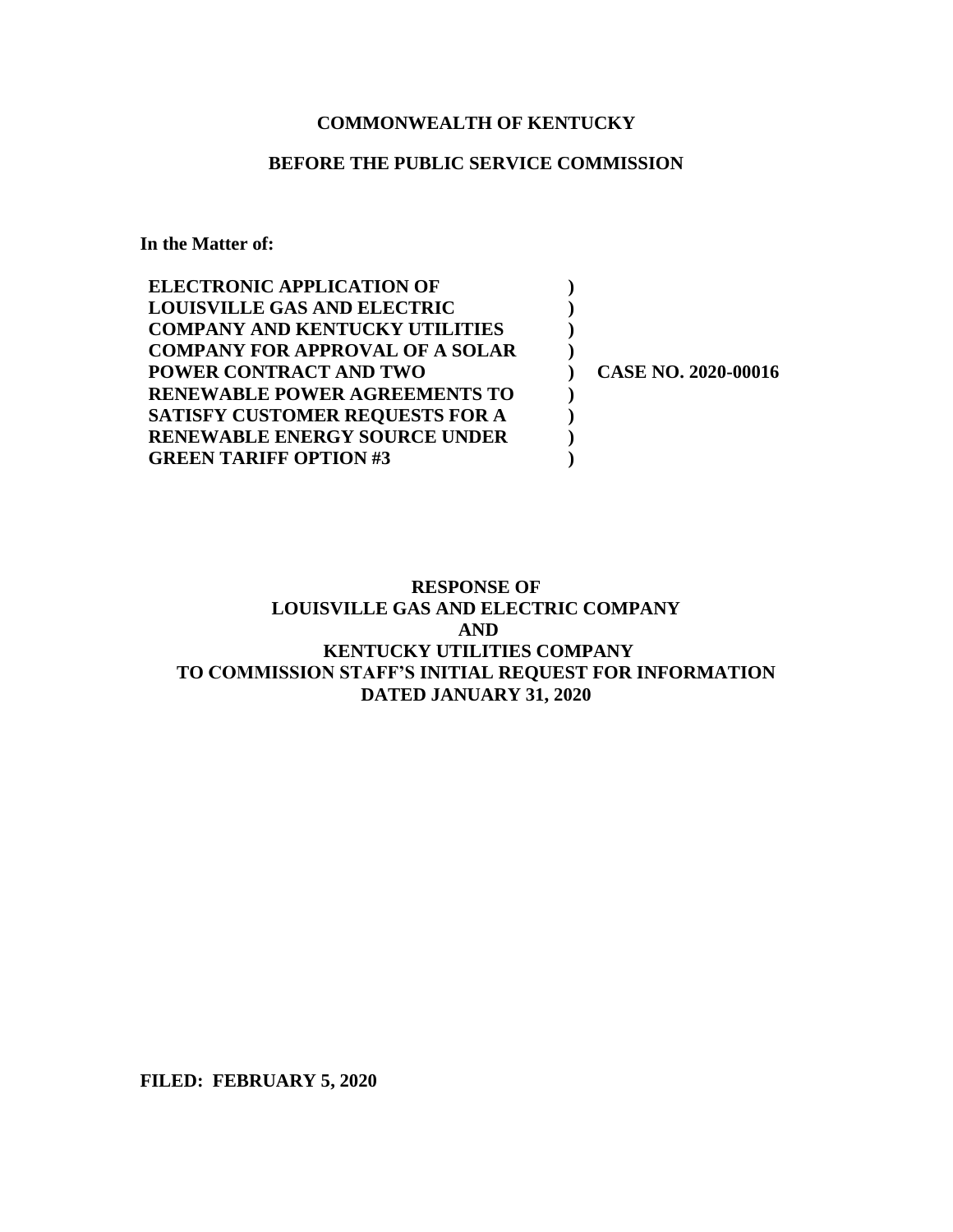# **COMMONWEALTH OF KENTUCKY**

# **BEFORE THE PUBLIC SERVICE COMMISSION**

**In the Matter of:**

| <b>ELECTRONIC APPLICATION OF</b>       |                            |
|----------------------------------------|----------------------------|
| <b>LOUISVILLE GAS AND ELECTRIC</b>     |                            |
| <b>COMPANY AND KENTUCKY UTILITIES</b>  |                            |
| <b>COMPANY FOR APPROVAL OF A SOLAR</b> |                            |
| <b>POWER CONTRACT AND TWO</b>          | <b>CASE NO. 2020-00016</b> |
| <b>RENEWABLE POWER AGREEMENTS TO</b>   |                            |
| <b>SATISFY CUSTOMER REQUESTS FOR A</b> |                            |
| <b>RENEWABLE ENERGY SOURCE UNDER</b>   |                            |
| <b>GREEN TARIFF OPTION #3</b>          |                            |

# **RESPONSE OF LOUISVILLE GAS AND ELECTRIC COMPANY AND KENTUCKY UTILITIES COMPANY TO COMMISSION STAFF'S INITIAL REQUEST FOR INFORMATION DATED JANUARY 31, 2020**

**FILED: FEBRUARY 5, 2020**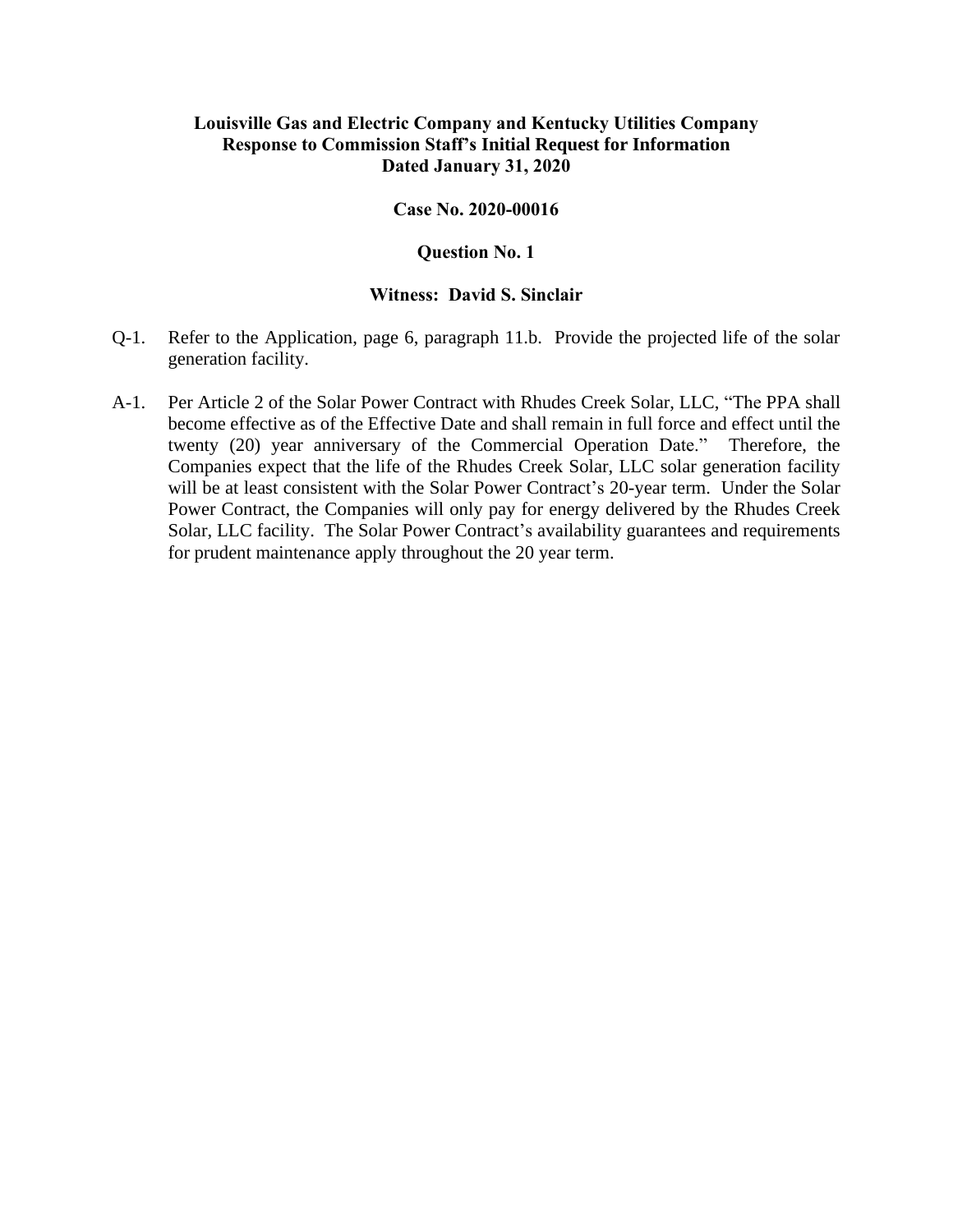#### **Case No. 2020-00016**

### **Question No. 1**

- Q-1. Refer to the Application, page 6, paragraph 11.b. Provide the projected life of the solar generation facility.
- A-1. Per Article 2 of the Solar Power Contract with Rhudes Creek Solar, LLC, "The PPA shall become effective as of the Effective Date and shall remain in full force and effect until the twenty (20) year anniversary of the Commercial Operation Date." Therefore, the Companies expect that the life of the Rhudes Creek Solar, LLC solar generation facility will be at least consistent with the Solar Power Contract's 20-year term. Under the Solar Power Contract, the Companies will only pay for energy delivered by the Rhudes Creek Solar, LLC facility. The Solar Power Contract's availability guarantees and requirements for prudent maintenance apply throughout the 20 year term.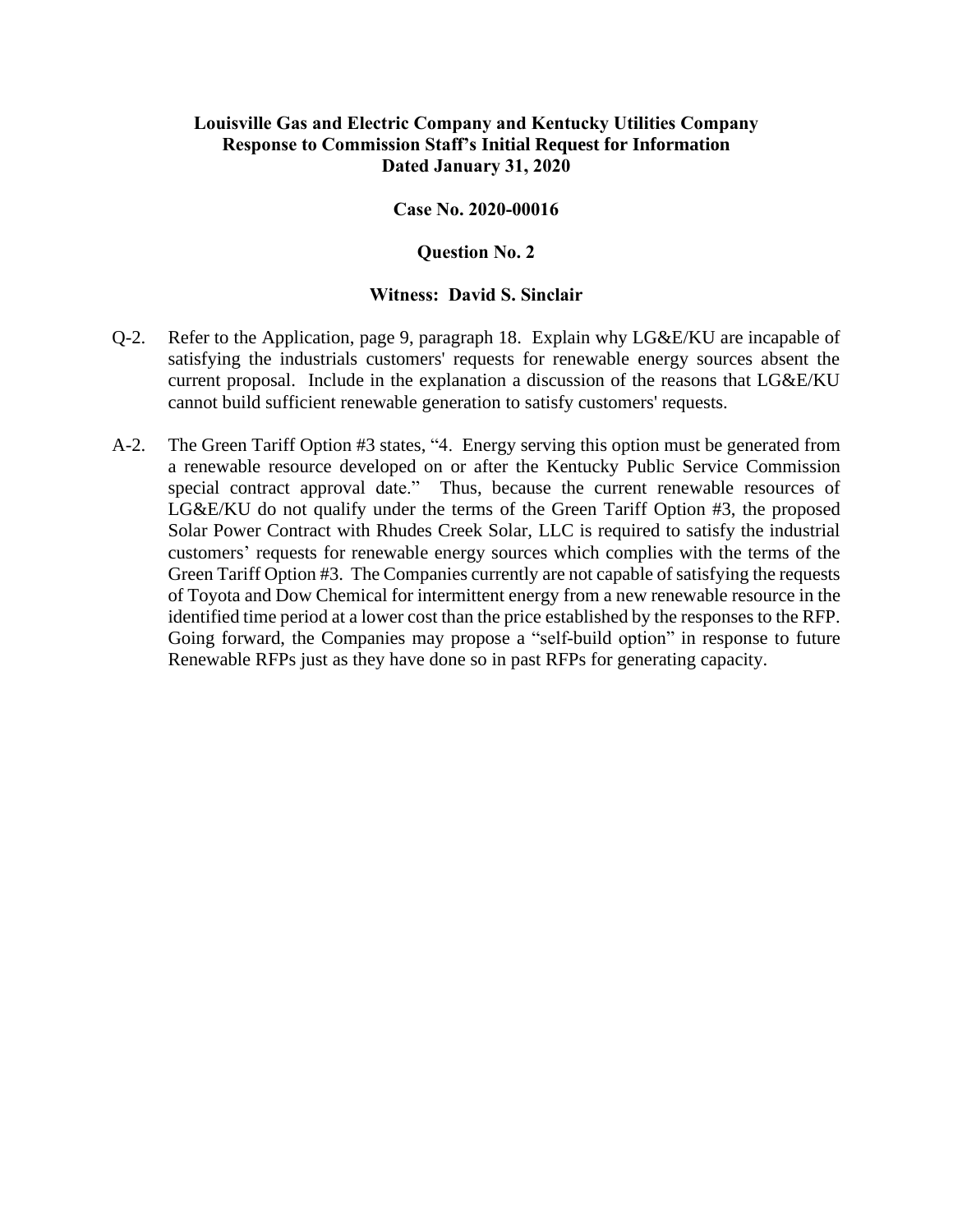### **Case No. 2020-00016**

#### **Question No. 2**

- Q-2. Refer to the Application, page 9, paragraph 18. Explain why LG&E/KU are incapable of satisfying the industrials customers' requests for renewable energy sources absent the current proposal. Include in the explanation a discussion of the reasons that LG&E/KU cannot build sufficient renewable generation to satisfy customers' requests.
- A-2. The Green Tariff Option #3 states, "4. Energy serving this option must be generated from a renewable resource developed on or after the Kentucky Public Service Commission special contract approval date." Thus, because the current renewable resources of LG&E/KU do not qualify under the terms of the Green Tariff Option #3, the proposed Solar Power Contract with Rhudes Creek Solar, LLC is required to satisfy the industrial customers' requests for renewable energy sources which complies with the terms of the Green Tariff Option #3. The Companies currently are not capable of satisfying the requests of Toyota and Dow Chemical for intermittent energy from a new renewable resource in the identified time period at a lower cost than the price established by the responses to the RFP. Going forward, the Companies may propose a "self-build option" in response to future Renewable RFPs just as they have done so in past RFPs for generating capacity.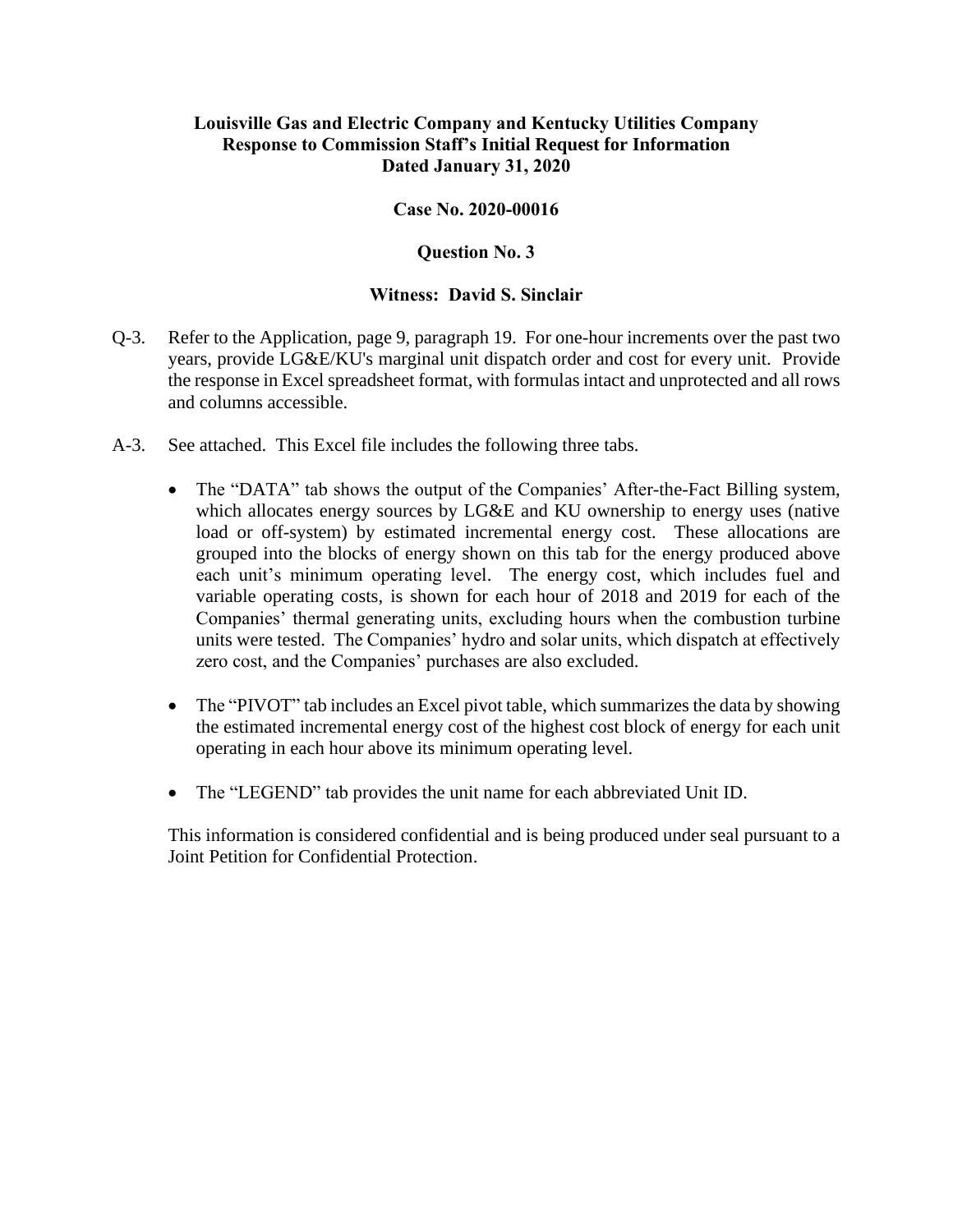### **Case No. 2020-00016**

### **Question No. 3**

### **Witness: David S. Sinclair**

- Q-3. Refer to the Application, page 9, paragraph 19. For one-hour increments over the past two years, provide LG&E/KU's marginal unit dispatch order and cost for every unit. Provide the response in Excel spreadsheet format, with formulas intact and unprotected and all rows and columns accessible.
- A-3. See attached. This Excel file includes the following three tabs.
	- The "DATA" tab shows the output of the Companies' After-the-Fact Billing system, which allocates energy sources by LG&E and KU ownership to energy uses (native load or off-system) by estimated incremental energy cost. These allocations are grouped into the blocks of energy shown on this tab for the energy produced above each unit's minimum operating level. The energy cost, which includes fuel and variable operating costs, is shown for each hour of 2018 and 2019 for each of the Companies' thermal generating units, excluding hours when the combustion turbine units were tested. The Companies' hydro and solar units, which dispatch at effectively zero cost, and the Companies' purchases are also excluded.
	- The "PIVOT" tab includes an Excel pivot table, which summarizes the data by showing the estimated incremental energy cost of the highest cost block of energy for each unit operating in each hour above its minimum operating level.
	- The "LEGEND" tab provides the unit name for each abbreviated Unit ID.

This information is considered confidential and is being produced under seal pursuant to a Joint Petition for Confidential Protection.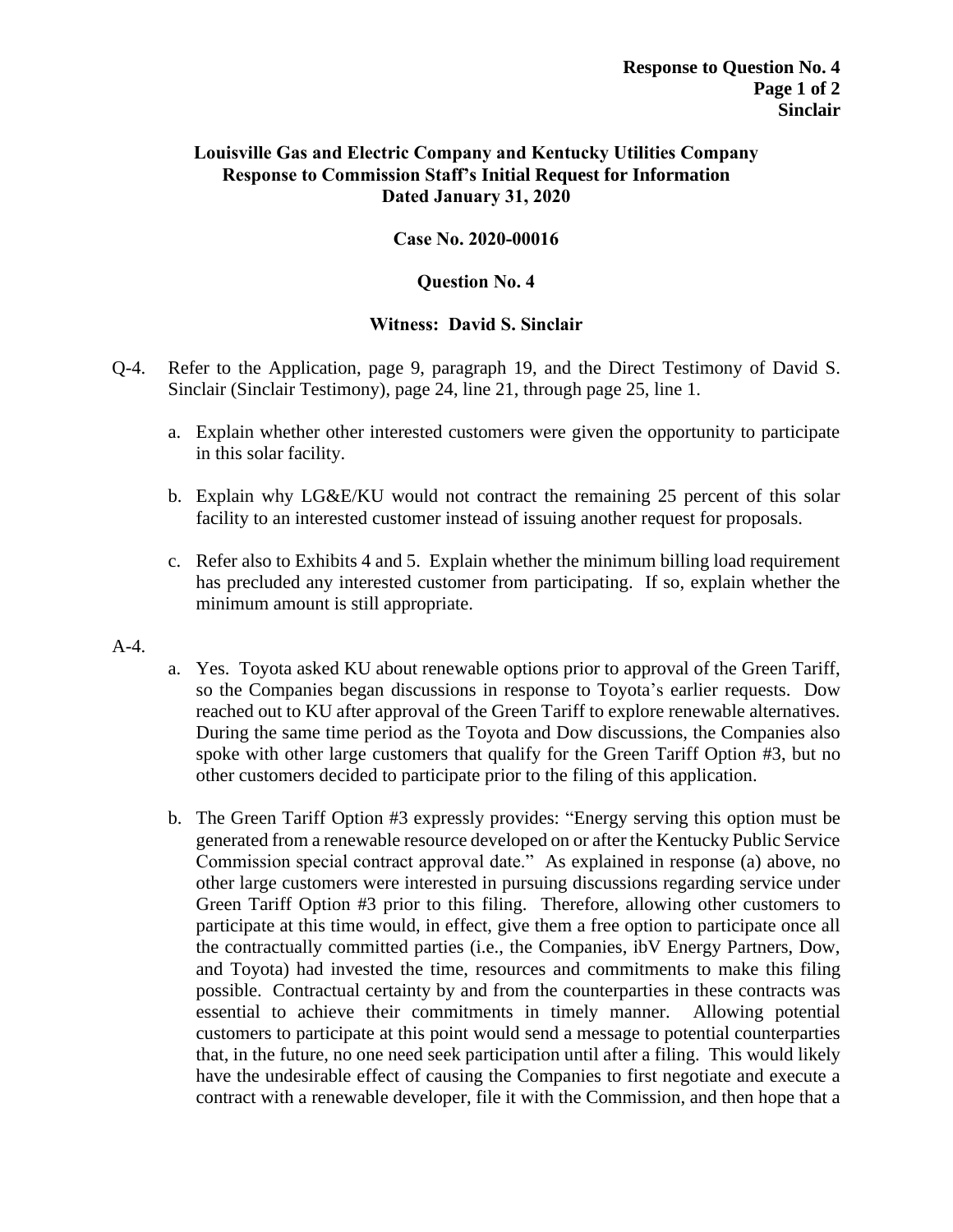# **Case No. 2020-00016**

### **Question No. 4**

- Q-4. Refer to the Application, page 9, paragraph 19, and the Direct Testimony of David S. Sinclair (Sinclair Testimony), page 24, line 21, through page 25, line 1.
	- a. Explain whether other interested customers were given the opportunity to participate in this solar facility.
	- b. Explain why LG&E/KU would not contract the remaining 25 percent of this solar facility to an interested customer instead of issuing another request for proposals.
	- c. Refer also to Exhibits 4 and 5. Explain whether the minimum billing load requirement has precluded any interested customer from participating. If so, explain whether the minimum amount is still appropriate.
- A-4.
- a. Yes. Toyota asked KU about renewable options prior to approval of the Green Tariff, so the Companies began discussions in response to Toyota's earlier requests. Dow reached out to KU after approval of the Green Tariff to explore renewable alternatives. During the same time period as the Toyota and Dow discussions, the Companies also spoke with other large customers that qualify for the Green Tariff Option #3, but no other customers decided to participate prior to the filing of this application.
- b. The Green Tariff Option #3 expressly provides: "Energy serving this option must be generated from a renewable resource developed on or after the Kentucky Public Service Commission special contract approval date." As explained in response (a) above, no other large customers were interested in pursuing discussions regarding service under Green Tariff Option #3 prior to this filing. Therefore, allowing other customers to participate at this time would, in effect, give them a free option to participate once all the contractually committed parties (i.e., the Companies, ibV Energy Partners, Dow, and Toyota) had invested the time, resources and commitments to make this filing possible. Contractual certainty by and from the counterparties in these contracts was essential to achieve their commitments in timely manner. Allowing potential customers to participate at this point would send a message to potential counterparties that, in the future, no one need seek participation until after a filing. This would likely have the undesirable effect of causing the Companies to first negotiate and execute a contract with a renewable developer, file it with the Commission, and then hope that a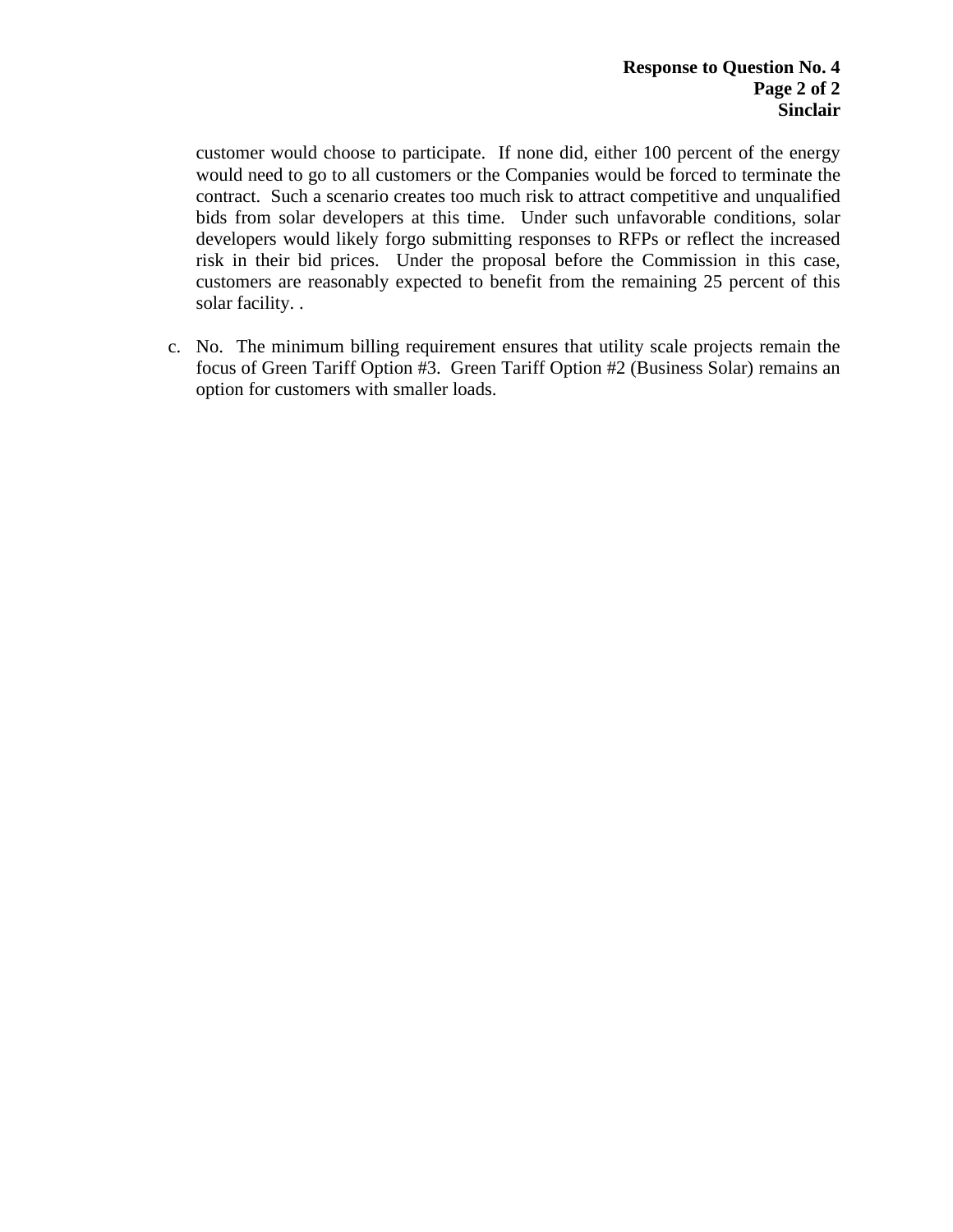customer would choose to participate. If none did, either 100 percent of the energy would need to go to all customers or the Companies would be forced to terminate the contract. Such a scenario creates too much risk to attract competitive and unqualified bids from solar developers at this time. Under such unfavorable conditions, solar developers would likely forgo submitting responses to RFPs or reflect the increased risk in their bid prices. Under the proposal before the Commission in this case, customers are reasonably expected to benefit from the remaining 25 percent of this solar facility. .

c. No. The minimum billing requirement ensures that utility scale projects remain the focus of Green Tariff Option #3. Green Tariff Option #2 (Business Solar) remains an option for customers with smaller loads.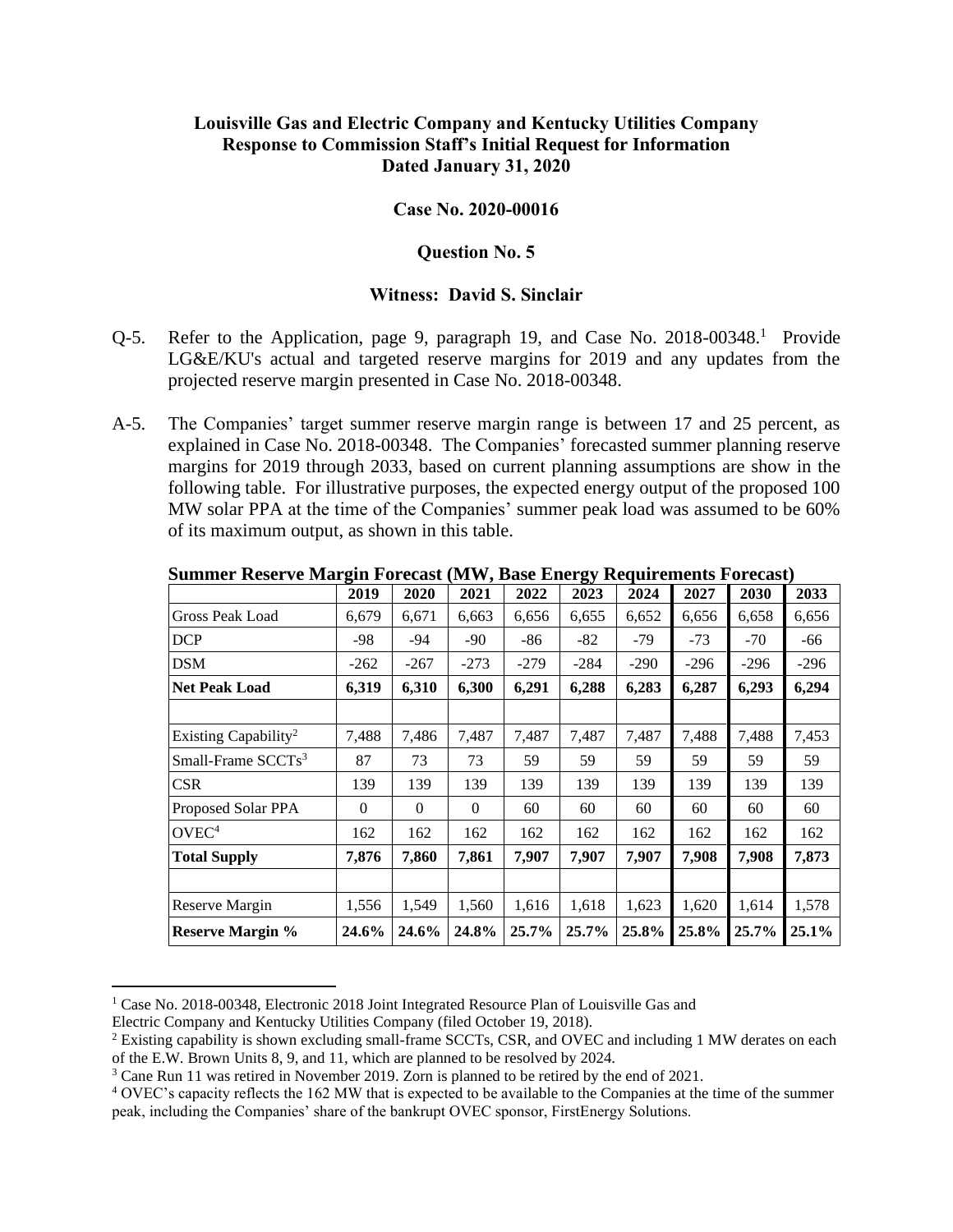### **Case No. 2020-00016**

#### **Question No. 5**

- Q-5. Refer to the Application, page 9, paragraph 19, and Case No. 2018-00348.<sup>1</sup> Provide LG&E/KU's actual and targeted reserve margins for 2019 and any updates from the projected reserve margin presented in Case No. 2018-00348.
- A-5. The Companies' target summer reserve margin range is between 17 and 25 percent, as explained in Case No. 2018-00348. The Companies' forecasted summer planning reserve margins for 2019 through 2033, based on current planning assumptions are show in the following table. For illustrative purposes, the expected energy output of the proposed 100 MW solar PPA at the time of the Companies' summer peak load was assumed to be 60% of its maximum output, as shown in this table.

|                                  | o<br>2019 | 2020     | 2021     | 2022   | ~<br>2023 | 2024   | 2027   | 2030   | 2033   |
|----------------------------------|-----------|----------|----------|--------|-----------|--------|--------|--------|--------|
| Gross Peak Load                  | 6,679     | 6,671    | 6,663    | 6,656  | 6,655     | 6,652  | 6,656  | 6,658  | 6,656  |
| <b>DCP</b>                       | -98       | $-94$    | $-90$    | -86    | $-82$     | -79    | $-73$  | $-70$  | -66    |
| <b>DSM</b>                       | $-262$    | -267     | $-273$   | $-279$ | $-284$    | $-290$ | $-296$ | $-296$ | $-296$ |
| <b>Net Peak Load</b>             | 6,319     | 6,310    | 6,300    | 6,291  | 6,288     | 6,283  | 6,287  | 6,293  | 6,294  |
|                                  |           |          |          |        |           |        |        |        |        |
| Existing Capability <sup>2</sup> | 7,488     | 7,486    | 7,487    | 7,487  | 7,487     | 7,487  | 7,488  | 7,488  | 7,453  |
| Small-Frame $SCCTs3$             | 87        | 73       | 73       | 59     | 59        | 59     | 59     | 59     | 59     |
| <b>CSR</b>                       | 139       | 139      | 139      | 139    | 139       | 139    | 139    | 139    | 139    |
| Proposed Solar PPA               | $\Omega$  | $\Omega$ | $\Omega$ | 60     | 60        | 60     | 60     | 60     | 60     |
| OVEC <sup>4</sup>                | 162       | 162      | 162      | 162    | 162       | 162    | 162    | 162    | 162    |
| <b>Total Supply</b>              | 7,876     | 7,860    | 7,861    | 7,907  | 7,907     | 7,907  | 7,908  | 7,908  | 7,873  |
|                                  |           |          |          |        |           |        |        |        |        |
| Reserve Margin                   | 1,556     | 1,549    | 1,560    | 1,616  | 1,618     | 1,623  | 1,620  | 1,614  | 1,578  |
| <b>Reserve Margin %</b>          | 24.6%     | 24.6%    | 24.8%    | 25.7%  | 25.7%     | 25.8%  | 25.8%  | 25.7%  | 25.1%  |

**Summer Reserve Margin Forecast (MW, Base Energy Requirements Forecast)**

<sup>&</sup>lt;sup>1</sup> Case No. 2018-00348, Electronic 2018 Joint Integrated Resource Plan of Louisville Gas and

Electric Company and Kentucky Utilities Company (filed October 19, 2018).

<sup>&</sup>lt;sup>2</sup> Existing capability is shown excluding small-frame SCCTs, CSR, and OVEC and including 1 MW derates on each of the E.W. Brown Units 8, 9, and 11, which are planned to be resolved by 2024.

<sup>3</sup> Cane Run 11 was retired in November 2019. Zorn is planned to be retired by the end of 2021.

<sup>4</sup> OVEC's capacity reflects the 162 MW that is expected to be available to the Companies at the time of the summer peak, including the Companies' share of the bankrupt OVEC sponsor, FirstEnergy Solutions.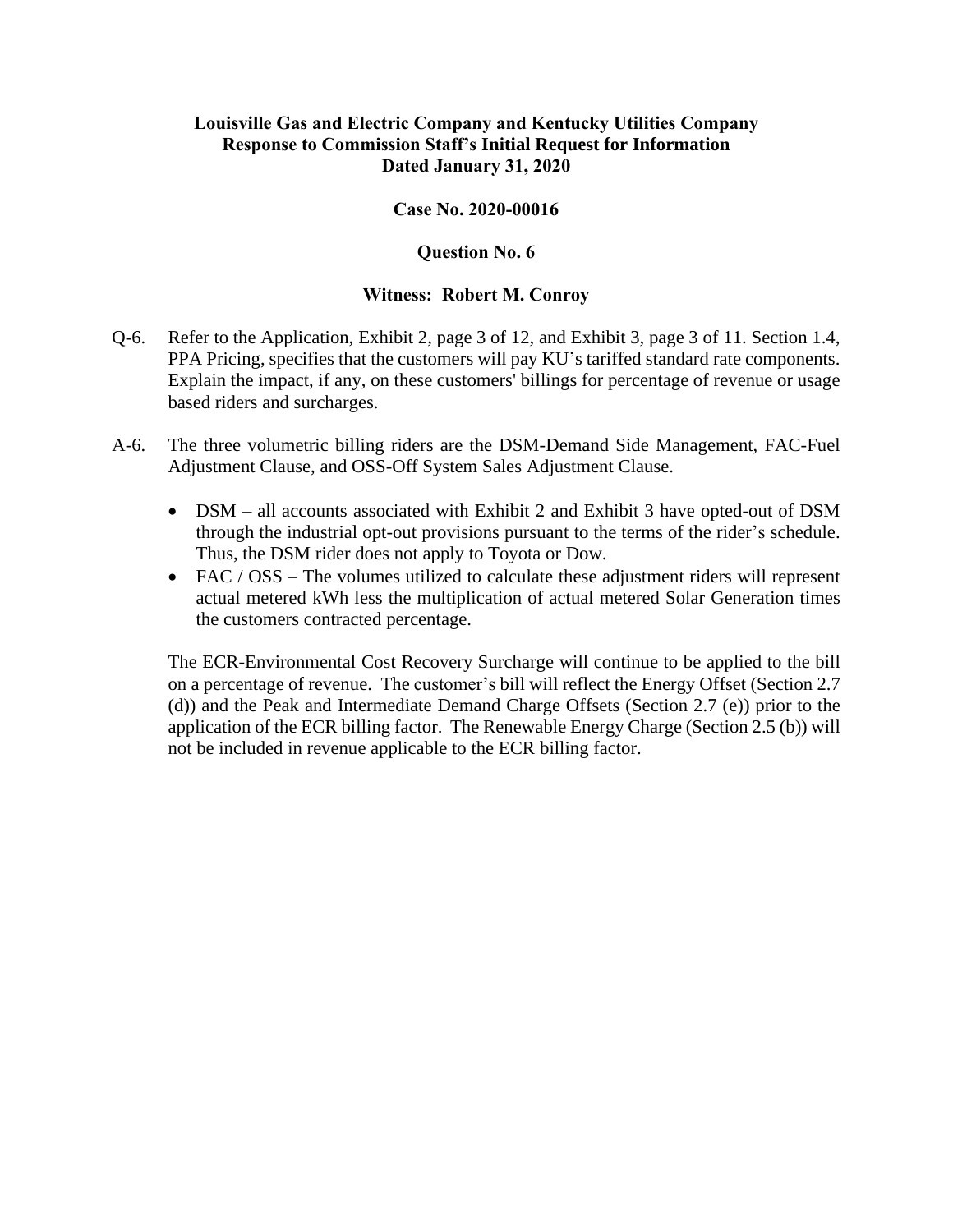### **Case No. 2020-00016**

### **Question No. 6**

#### **Witness: Robert M. Conroy**

- Q-6. Refer to the Application, Exhibit 2, page 3 of 12, and Exhibit 3, page 3 of 11. Section 1.4, PPA Pricing, specifies that the customers will pay KU's tariffed standard rate components. Explain the impact, if any, on these customers' billings for percentage of revenue or usage based riders and surcharges.
- A-6. The three volumetric billing riders are the DSM-Demand Side Management, FAC-Fuel Adjustment Clause, and OSS-Off System Sales Adjustment Clause.
	- DSM all accounts associated with Exhibit 2 and Exhibit 3 have opted-out of DSM through the industrial opt-out provisions pursuant to the terms of the rider's schedule. Thus, the DSM rider does not apply to Toyota or Dow.
	- FAC / OSS The volumes utilized to calculate these adjustment riders will represent actual metered kWh less the multiplication of actual metered Solar Generation times the customers contracted percentage.

The ECR-Environmental Cost Recovery Surcharge will continue to be applied to the bill on a percentage of revenue. The customer's bill will reflect the Energy Offset (Section 2.7 (d)) and the Peak and Intermediate Demand Charge Offsets (Section 2.7 (e)) prior to the application of the ECR billing factor. The Renewable Energy Charge (Section 2.5 (b)) will not be included in revenue applicable to the ECR billing factor.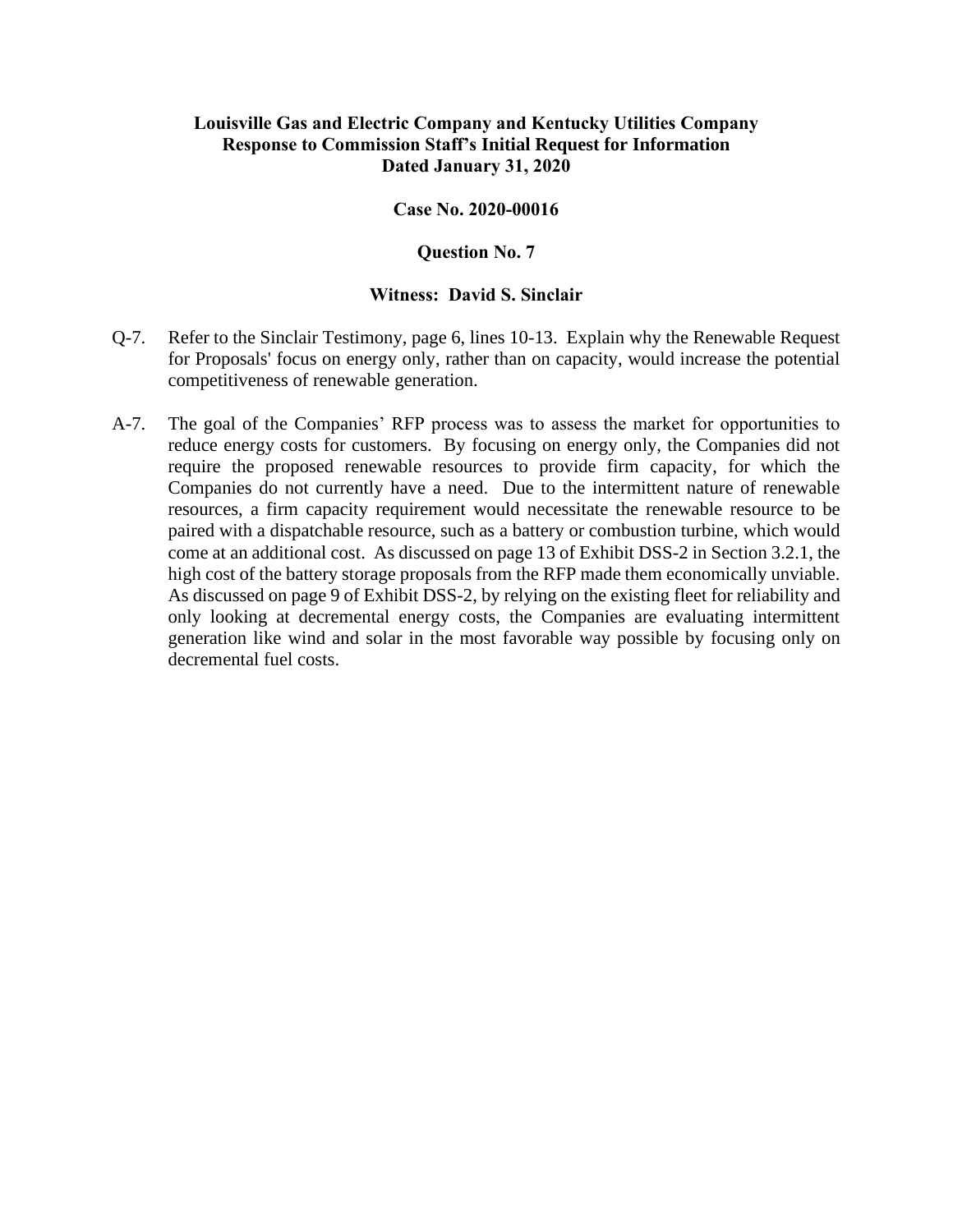### **Case No. 2020-00016**

#### **Question No. 7**

- Q-7. Refer to the Sinclair Testimony, page 6, lines 10-13. Explain why the Renewable Request for Proposals' focus on energy only, rather than on capacity, would increase the potential competitiveness of renewable generation.
- A-7. The goal of the Companies' RFP process was to assess the market for opportunities to reduce energy costs for customers. By focusing on energy only, the Companies did not require the proposed renewable resources to provide firm capacity, for which the Companies do not currently have a need. Due to the intermittent nature of renewable resources, a firm capacity requirement would necessitate the renewable resource to be paired with a dispatchable resource, such as a battery or combustion turbine, which would come at an additional cost. As discussed on page 13 of Exhibit DSS-2 in Section 3.2.1, the high cost of the battery storage proposals from the RFP made them economically unviable. As discussed on page 9 of Exhibit DSS-2, by relying on the existing fleet for reliability and only looking at decremental energy costs, the Companies are evaluating intermittent generation like wind and solar in the most favorable way possible by focusing only on decremental fuel costs.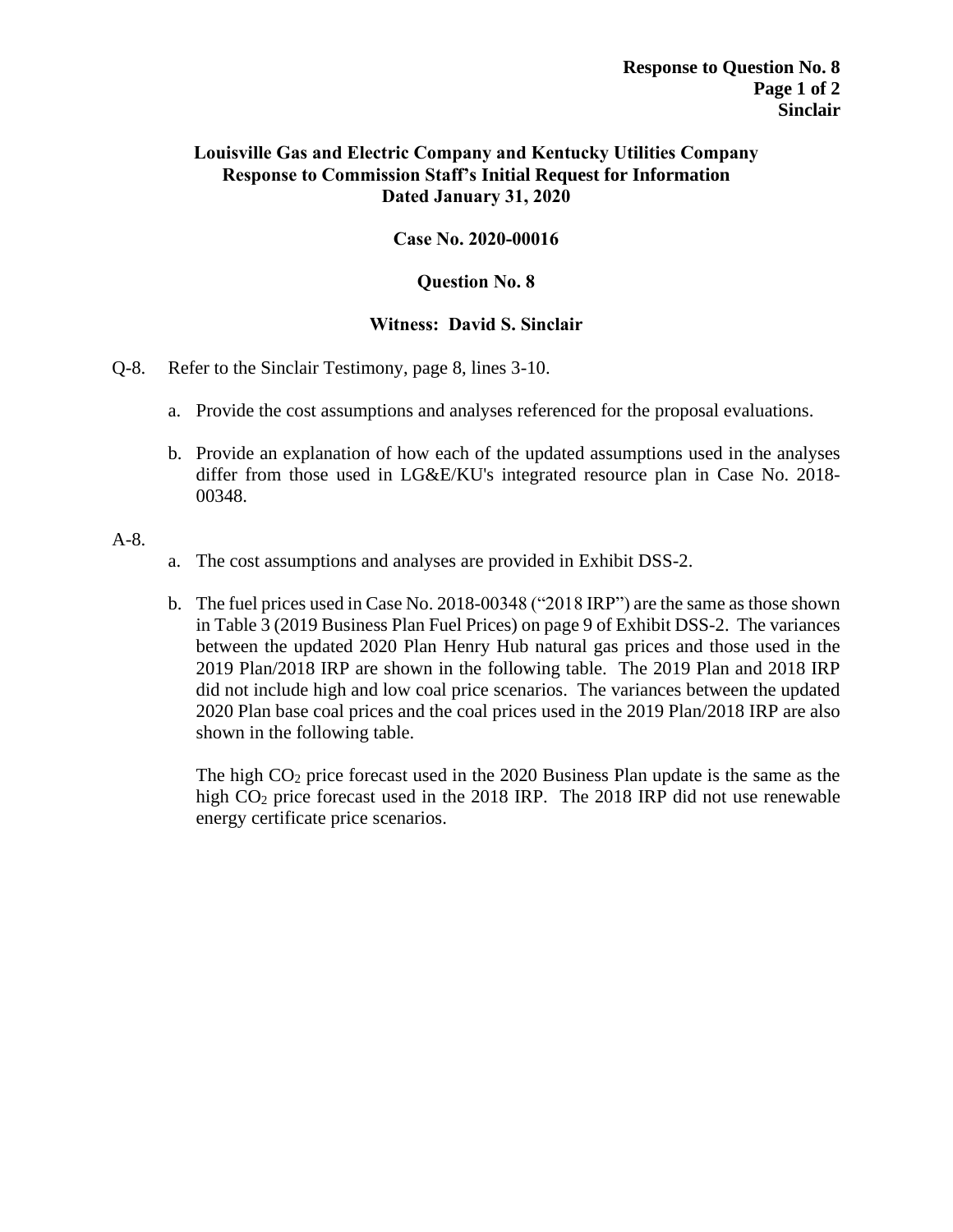# **Case No. 2020-00016**

### **Question No. 8**

### **Witness: David S. Sinclair**

- Q-8. Refer to the Sinclair Testimony, page 8, lines 3-10.
	- a. Provide the cost assumptions and analyses referenced for the proposal evaluations.
	- b. Provide an explanation of how each of the updated assumptions used in the analyses differ from those used in LG&E/KU's integrated resource plan in Case No. 2018- 00348.

### A-8.

- a. The cost assumptions and analyses are provided in Exhibit DSS-2.
- b. The fuel prices used in Case No. 2018-00348 ("2018 IRP") are the same as those shown in Table 3 (2019 Business Plan Fuel Prices) on page 9 of Exhibit DSS-2. The variances between the updated 2020 Plan Henry Hub natural gas prices and those used in the 2019 Plan/2018 IRP are shown in the following table. The 2019 Plan and 2018 IRP did not include high and low coal price scenarios. The variances between the updated 2020 Plan base coal prices and the coal prices used in the 2019 Plan/2018 IRP are also shown in the following table.

The high  $CO<sub>2</sub>$  price forecast used in the 2020 Business Plan update is the same as the high CO<sub>2</sub> price forecast used in the 2018 IRP. The 2018 IRP did not use renewable energy certificate price scenarios.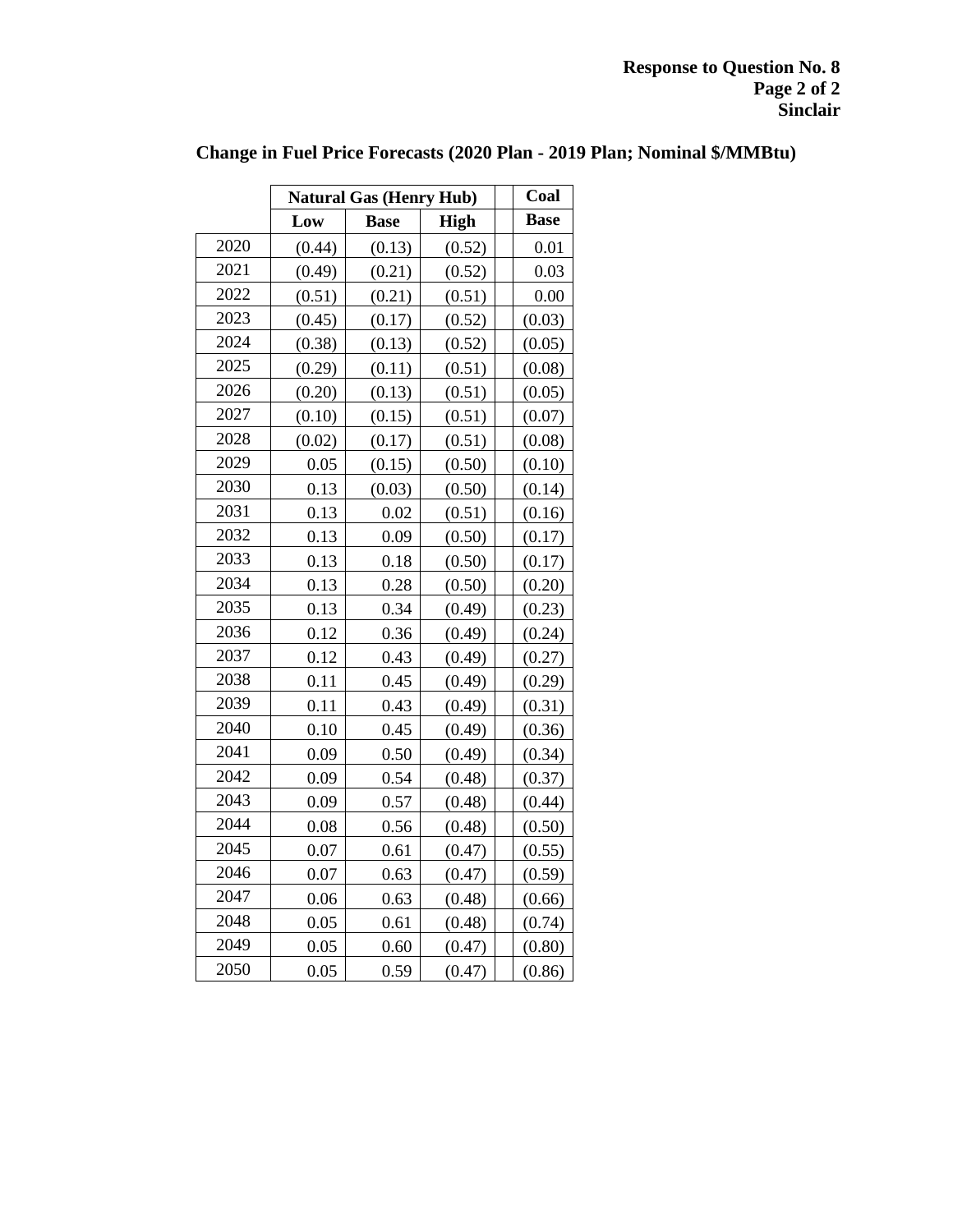|      | <b>Natural Gas (Henry Hub)</b> | Coal        |             |             |
|------|--------------------------------|-------------|-------------|-------------|
|      | Low                            | <b>Base</b> | <b>High</b> | <b>Base</b> |
| 2020 | (0.44)                         | (0.13)      | (0.52)      | 0.01        |
| 2021 | (0.49)                         | (0.21)      | (0.52)      | 0.03        |
| 2022 | (0.51)                         | (0.21)      | (0.51)      | 0.00        |
| 2023 | (0.45)                         | (0.17)      | (0.52)      | (0.03)      |
| 2024 | (0.38)                         | (0.13)      | (0.52)      | (0.05)      |
| 2025 | (0.29)                         | (0.11)      | (0.51)      | (0.08)      |
| 2026 | (0.20)                         | (0.13)      | (0.51)      | (0.05)      |
| 2027 | (0.10)                         | (0.15)      | (0.51)      | (0.07)      |
| 2028 | (0.02)                         | (0.17)      | (0.51)      | (0.08)      |
| 2029 | 0.05                           | (0.15)      | (0.50)      | (0.10)      |
| 2030 | 0.13                           | (0.03)      | (0.50)      | (0.14)      |
| 2031 | 0.13                           | 0.02        | (0.51)      | (0.16)      |
| 2032 | 0.13                           | 0.09        | (0.50)      | (0.17)      |
| 2033 | 0.13                           | 0.18        | (0.50)      | (0.17)      |
| 2034 | 0.13                           | 0.28        | (0.50)      | (0.20)      |
| 2035 | 0.13                           | 0.34        | (0.49)      | (0.23)      |
| 2036 | 0.12                           | 0.36        | (0.49)      | (0.24)      |
| 2037 | 0.12                           | 0.43        | (0.49)      | (0.27)      |
| 2038 | 0.11                           | 0.45        | (0.49)      | (0.29)      |
| 2039 | 0.11                           | 0.43        | (0.49)      | (0.31)      |
| 2040 | 0.10                           | 0.45        | (0.49)      | (0.36)      |
| 2041 | 0.09                           | 0.50        | (0.49)      | (0.34)      |
| 2042 | 0.09                           | 0.54        | (0.48)      | (0.37)      |
| 2043 | 0.09                           | 0.57        | (0.48)      | (0.44)      |
| 2044 | 0.08                           | 0.56        | (0.48)      | (0.50)      |
| 2045 | 0.07                           | 0.61        | (0.47)      | (0.55)      |
| 2046 | 0.07                           | 0.63        | (0.47)      | (0.59)      |
| 2047 | 0.06                           | 0.63        | (0.48)      | (0.66)      |
| 2048 | 0.05                           | 0.61        | (0.48)      | (0.74)      |
| 2049 | 0.05                           | 0.60        | (0.47)      | (0.80)      |
| 2050 | 0.05                           | 0.59        | (0.47)      | (0.86)      |

# **Change in Fuel Price Forecasts (2020 Plan - 2019 Plan; Nominal \$/MMBtu)**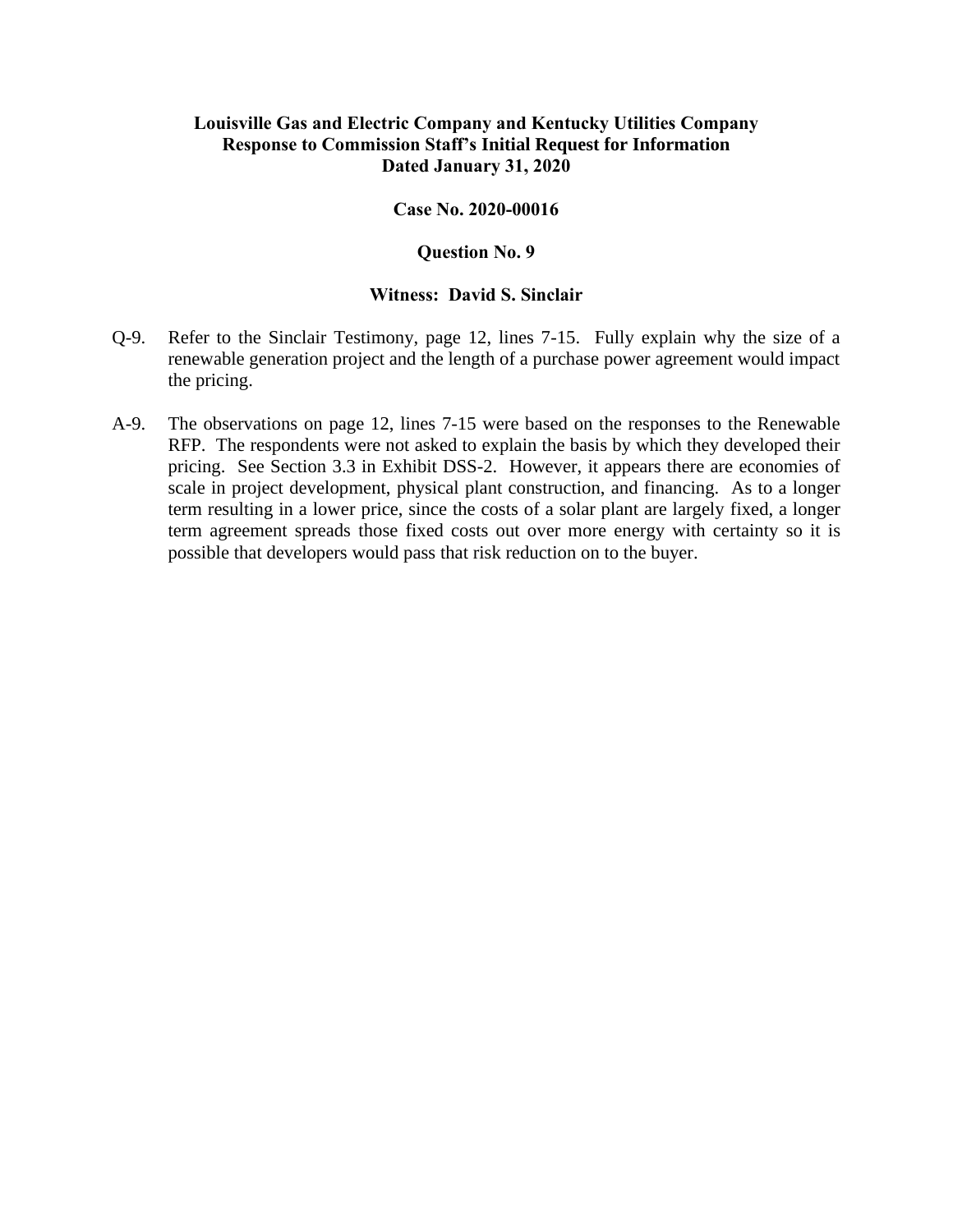#### **Case No. 2020-00016**

#### **Question No. 9**

- Q-9. Refer to the Sinclair Testimony, page 12, lines 7-15. Fully explain why the size of a renewable generation project and the length of a purchase power agreement would impact the pricing.
- A-9. The observations on page 12, lines 7-15 were based on the responses to the Renewable RFP. The respondents were not asked to explain the basis by which they developed their pricing. See Section 3.3 in Exhibit DSS-2. However, it appears there are economies of scale in project development, physical plant construction, and financing. As to a longer term resulting in a lower price, since the costs of a solar plant are largely fixed, a longer term agreement spreads those fixed costs out over more energy with certainty so it is possible that developers would pass that risk reduction on to the buyer.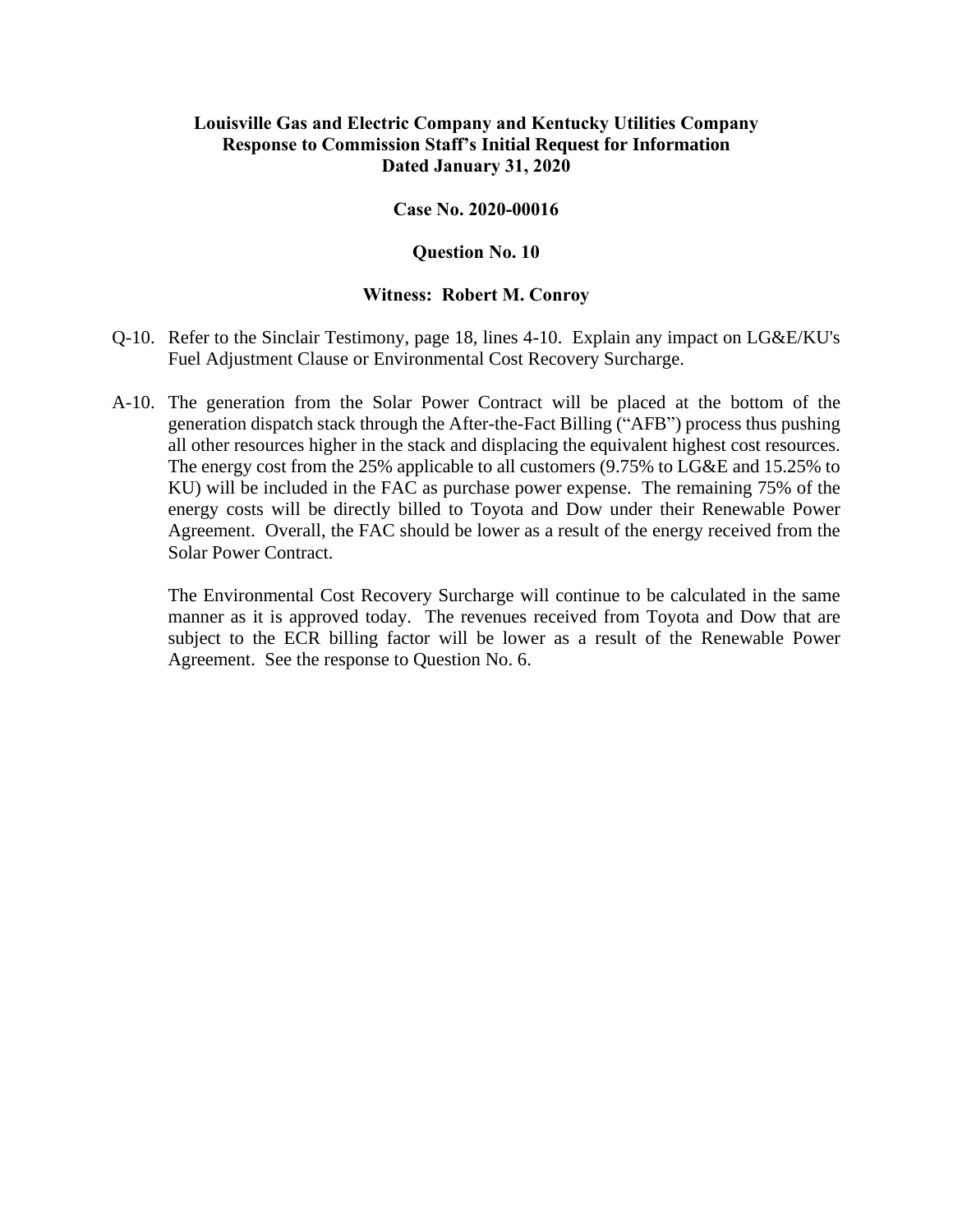### **Case No. 2020-00016**

#### **Question No. 10**

#### **Witness: Robert M. Conroy**

- Q-10. Refer to the Sinclair Testimony, page 18, lines 4-10. Explain any impact on LG&E/KU's Fuel Adjustment Clause or Environmental Cost Recovery Surcharge.
- A-10. The generation from the Solar Power Contract will be placed at the bottom of the generation dispatch stack through the After-the-Fact Billing ("AFB") process thus pushing all other resources higher in the stack and displacing the equivalent highest cost resources. The energy cost from the 25% applicable to all customers (9.75% to LG&E and 15.25% to KU) will be included in the FAC as purchase power expense. The remaining 75% of the energy costs will be directly billed to Toyota and Dow under their Renewable Power Agreement. Overall, the FAC should be lower as a result of the energy received from the Solar Power Contract.

The Environmental Cost Recovery Surcharge will continue to be calculated in the same manner as it is approved today. The revenues received from Toyota and Dow that are subject to the ECR billing factor will be lower as a result of the Renewable Power Agreement. See the response to Question No. 6.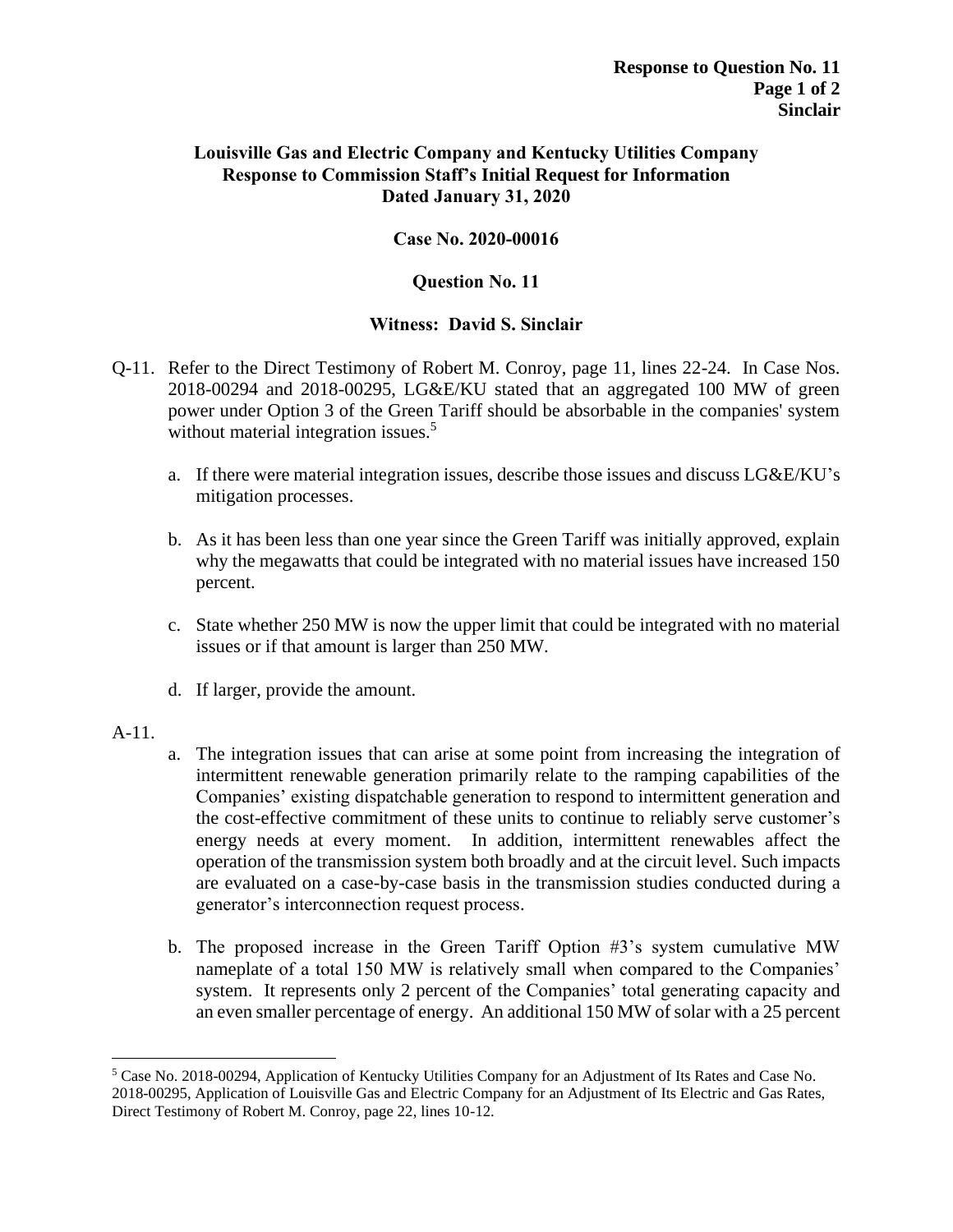# **Case No. 2020-00016**

# **Question No. 11**

- Q-11. Refer to the Direct Testimony of Robert M. Conroy, page 11, lines 22-24. In Case Nos. 2018-00294 and 2018-00295, LG&E/KU stated that an aggregated 100 MW of green power under Option 3 of the Green Tariff should be absorbable in the companies' system without material integration issues.<sup>5</sup>
	- a. If there were material integration issues, describe those issues and discuss LG&E/KU's mitigation processes.
	- b. As it has been less than one year since the Green Tariff was initially approved, explain why the megawatts that could be integrated with no material issues have increased 150 percent.
	- c. State whether 250 MW is now the upper limit that could be integrated with no material issues or if that amount is larger than 250 MW.
	- d. If larger, provide the amount.
- A-11.
- a. The integration issues that can arise at some point from increasing the integration of intermittent renewable generation primarily relate to the ramping capabilities of the Companies' existing dispatchable generation to respond to intermittent generation and the cost-effective commitment of these units to continue to reliably serve customer's energy needs at every moment. In addition, intermittent renewables affect the operation of the transmission system both broadly and at the circuit level. Such impacts are evaluated on a case-by-case basis in the transmission studies conducted during a generator's interconnection request process.
- b. The proposed increase in the Green Tariff Option #3's system cumulative MW nameplate of a total 150 MW is relatively small when compared to the Companies' system. It represents only 2 percent of the Companies' total generating capacity and an even smaller percentage of energy. An additional 150 MW of solar with a 25 percent

<sup>5</sup> Case No. 2018-00294, Application of Kentucky Utilities Company for an Adjustment of Its Rates and Case No. 2018-00295, Application of Louisville Gas and Electric Company for an Adjustment of Its Electric and Gas Rates, Direct Testimony of Robert M. Conroy, page 22, lines 10-12.